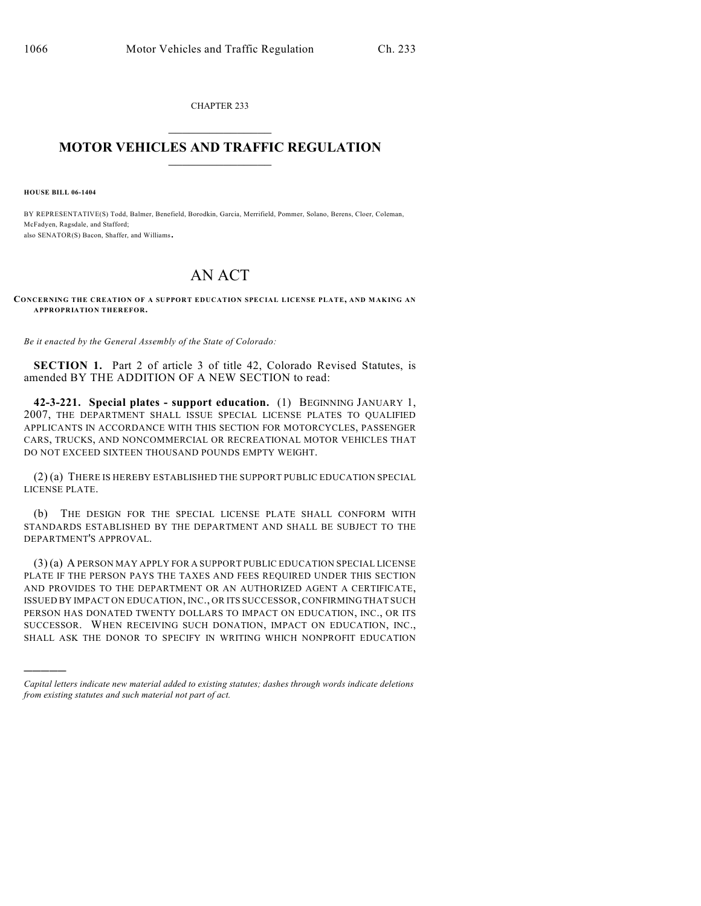CHAPTER 233  $\overline{\phantom{a}}$  . The set of the set of the set of the set of the set of the set of the set of the set of the set of the set of the set of the set of the set of the set of the set of the set of the set of the set of the set o

## **MOTOR VEHICLES AND TRAFFIC REGULATION**  $\frac{1}{2}$  ,  $\frac{1}{2}$  ,  $\frac{1}{2}$  ,  $\frac{1}{2}$  ,  $\frac{1}{2}$  ,  $\frac{1}{2}$  ,  $\frac{1}{2}$  ,  $\frac{1}{2}$

**HOUSE BILL 06-1404**

)))))

BY REPRESENTATIVE(S) Todd, Balmer, Benefield, Borodkin, Garcia, Merrifield, Pommer, Solano, Berens, Cloer, Coleman, McFadyen, Ragsdale, and Stafford; also SENATOR(S) Bacon, Shaffer, and Williams.

## AN ACT

## **CONCERNING THE CREATION OF A SUPPORT EDUCATION SPECIAL LICENSE PLATE, AND MAKING AN APPROPRIATION THEREFOR.**

*Be it enacted by the General Assembly of the State of Colorado:*

**SECTION 1.** Part 2 of article 3 of title 42, Colorado Revised Statutes, is amended BY THE ADDITION OF A NEW SECTION to read:

**42-3-221. Special plates - support education.** (1) BEGINNING JANUARY 1, 2007, THE DEPARTMENT SHALL ISSUE SPECIAL LICENSE PLATES TO QUALIFIED APPLICANTS IN ACCORDANCE WITH THIS SECTION FOR MOTORCYCLES, PASSENGER CARS, TRUCKS, AND NONCOMMERCIAL OR RECREATIONAL MOTOR VEHICLES THAT DO NOT EXCEED SIXTEEN THOUSAND POUNDS EMPTY WEIGHT.

(2) (a) THERE IS HEREBY ESTABLISHED THE SUPPORT PUBLIC EDUCATION SPECIAL LICENSE PLATE.

(b) THE DESIGN FOR THE SPECIAL LICENSE PLATE SHALL CONFORM WITH STANDARDS ESTABLISHED BY THE DEPARTMENT AND SHALL BE SUBJECT TO THE DEPARTMENT'S APPROVAL.

(3) (a) A PERSON MAY APPLY FOR A SUPPORT PUBLIC EDUCATION SPECIAL LICENSE PLATE IF THE PERSON PAYS THE TAXES AND FEES REQUIRED UNDER THIS SECTION AND PROVIDES TO THE DEPARTMENT OR AN AUTHORIZED AGENT A CERTIFICATE, ISSUED BY IMPACT ON EDUCATION, INC., OR ITS SUCCESSOR, CONFIRMING THAT SUCH PERSON HAS DONATED TWENTY DOLLARS TO IMPACT ON EDUCATION, INC., OR ITS SUCCESSOR. WHEN RECEIVING SUCH DONATION, IMPACT ON EDUCATION, INC., SHALL ASK THE DONOR TO SPECIFY IN WRITING WHICH NONPROFIT EDUCATION

*Capital letters indicate new material added to existing statutes; dashes through words indicate deletions from existing statutes and such material not part of act.*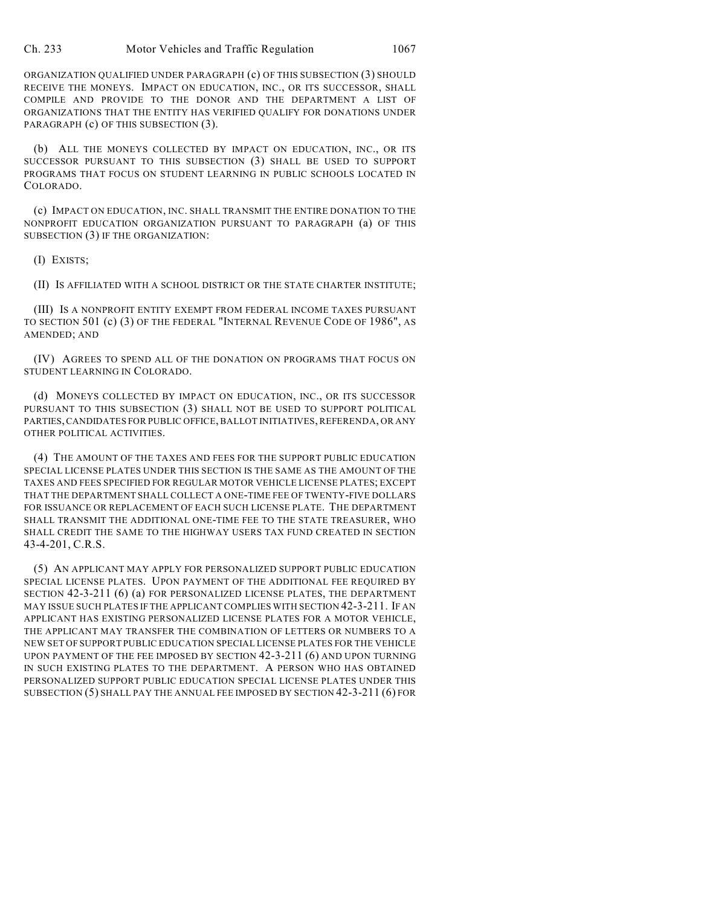ORGANIZATION QUALIFIED UNDER PARAGRAPH (c) OF THIS SUBSECTION (3) SHOULD RECEIVE THE MONEYS. IMPACT ON EDUCATION, INC., OR ITS SUCCESSOR, SHALL COMPILE AND PROVIDE TO THE DONOR AND THE DEPARTMENT A LIST OF ORGANIZATIONS THAT THE ENTITY HAS VERIFIED QUALIFY FOR DONATIONS UNDER PARAGRAPH (c) OF THIS SUBSECTION (3).

(b) ALL THE MONEYS COLLECTED BY IMPACT ON EDUCATION, INC., OR ITS SUCCESSOR PURSUANT TO THIS SUBSECTION (3) SHALL BE USED TO SUPPORT PROGRAMS THAT FOCUS ON STUDENT LEARNING IN PUBLIC SCHOOLS LOCATED IN COLORADO.

(c) IMPACT ON EDUCATION, INC. SHALL TRANSMIT THE ENTIRE DONATION TO THE NONPROFIT EDUCATION ORGANIZATION PURSUANT TO PARAGRAPH (a) OF THIS SUBSECTION (3) IF THE ORGANIZATION:

(I) EXISTS;

(II) IS AFFILIATED WITH A SCHOOL DISTRICT OR THE STATE CHARTER INSTITUTE;

(III) IS A NONPROFIT ENTITY EXEMPT FROM FEDERAL INCOME TAXES PURSUANT TO SECTION 501 (c) (3) OF THE FEDERAL "INTERNAL REVENUE CODE OF 1986", AS AMENDED; AND

(IV) AGREES TO SPEND ALL OF THE DONATION ON PROGRAMS THAT FOCUS ON STUDENT LEARNING IN COLORADO.

(d) MONEYS COLLECTED BY IMPACT ON EDUCATION, INC., OR ITS SUCCESSOR PURSUANT TO THIS SUBSECTION (3) SHALL NOT BE USED TO SUPPORT POLITICAL PARTIES, CANDIDATES FOR PUBLIC OFFICE, BALLOT INITIATIVES, REFERENDA, OR ANY OTHER POLITICAL ACTIVITIES.

(4) THE AMOUNT OF THE TAXES AND FEES FOR THE SUPPORT PUBLIC EDUCATION SPECIAL LICENSE PLATES UNDER THIS SECTION IS THE SAME AS THE AMOUNT OF THE TAXES AND FEES SPECIFIED FOR REGULAR MOTOR VEHICLE LICENSE PLATES; EXCEPT THAT THE DEPARTMENT SHALL COLLECT A ONE-TIME FEE OF TWENTY-FIVE DOLLARS FOR ISSUANCE OR REPLACEMENT OF EACH SUCH LICENSE PLATE. THE DEPARTMENT SHALL TRANSMIT THE ADDITIONAL ONE-TIME FEE TO THE STATE TREASURER, WHO SHALL CREDIT THE SAME TO THE HIGHWAY USERS TAX FUND CREATED IN SECTION 43-4-201, C.R.S.

(5) AN APPLICANT MAY APPLY FOR PERSONALIZED SUPPORT PUBLIC EDUCATION SPECIAL LICENSE PLATES. UPON PAYMENT OF THE ADDITIONAL FEE REQUIRED BY SECTION 42-3-211 (6) (a) FOR PERSONALIZED LICENSE PLATES, THE DEPARTMENT MAY ISSUE SUCH PLATES IF THE APPLICANT COMPLIES WITH SECTION 42-3-211. IF AN APPLICANT HAS EXISTING PERSONALIZED LICENSE PLATES FOR A MOTOR VEHICLE, THE APPLICANT MAY TRANSFER THE COMBINATION OF LETTERS OR NUMBERS TO A NEW SET OF SUPPORT PUBLIC EDUCATION SPECIAL LICENSE PLATES FOR THE VEHICLE UPON PAYMENT OF THE FEE IMPOSED BY SECTION 42-3-211 (6) AND UPON TURNING IN SUCH EXISTING PLATES TO THE DEPARTMENT. A PERSON WHO HAS OBTAINED PERSONALIZED SUPPORT PUBLIC EDUCATION SPECIAL LICENSE PLATES UNDER THIS SUBSECTION (5) SHALL PAY THE ANNUAL FEE IMPOSED BY SECTION 42-3-211 (6) FOR